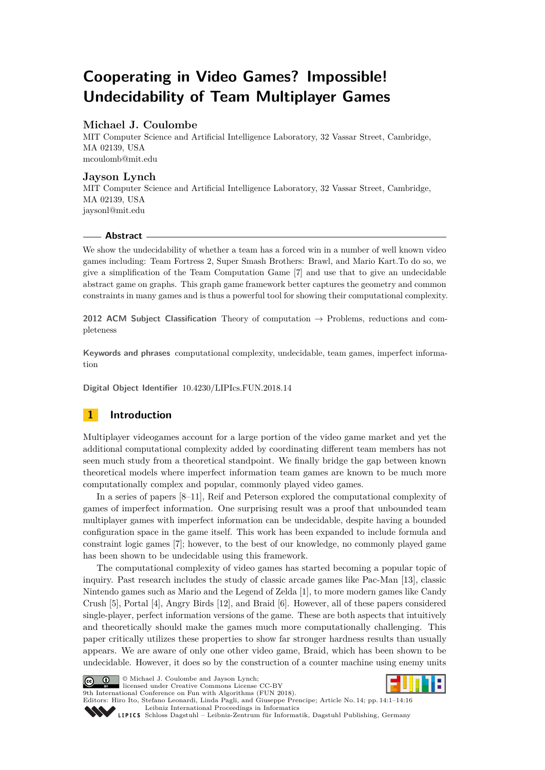# **Cooperating in Video Games? Impossible! Undecidability of Team Multiplayer Games**

# **Michael J. Coulombe**

MIT Computer Science and Artificial Intelligence Laboratory, 32 Vassar Street, Cambridge, MA 02139, USA [mcoulomb@mit.edu](mailto:mcoulomb@mit.edu)

## **Jayson Lynch**

MIT Computer Science and Artificial Intelligence Laboratory, 32 Vassar Street, Cambridge, MA 02139, USA [jaysonl@mit.edu](mailto:jaysonl@mit.edu)

## **Abstract**

We show the undecidability of whether a team has a forced win in a number of well known video games including: Team Fortress 2, Super Smash Brothers: Brawl, and Mario Kart.To do so, we give a simplification of the Team Computation Game [\[7\]](#page-14-0) and use that to give an undecidable abstract game on graphs. This graph game framework better captures the geometry and common constraints in many games and is thus a powerful tool for showing their computational complexity.

**2012 ACM Subject Classification** Theory of computation → Problems, reductions and completeness

**Keywords and phrases** computational complexity, undecidable, team games, imperfect information

**Digital Object Identifier** [10.4230/LIPIcs.FUN.2018.14](http://dx.doi.org/10.4230/LIPIcs.FUN.2018.14)

# **1 Introduction**

Multiplayer videogames account for a large portion of the video game market and yet the additional computational complexity added by coordinating different team members has not seen much study from a theoretical standpoint. We finally bridge the gap between known theoretical models where imperfect information team games are known to be much more computationally complex and popular, commonly played video games.

In a series of papers [\[8](#page-14-1)[–11\]](#page-14-2), Reif and Peterson explored the computational complexity of games of imperfect information. One surprising result was a proof that unbounded team multiplayer games with imperfect information can be undecidable, despite having a bounded configuration space in the game itself. This work has been expanded to include formula and constraint logic games [\[7\]](#page-14-0); however, to the best of our knowledge, no commonly played game has been shown to be undecidable using this framework.

The computational complexity of video games has started becoming a popular topic of inquiry. Past research includes the study of classic arcade games like Pac-Man [\[13\]](#page-14-3), classic Nintendo games such as Mario and the Legend of Zelda [\[1\]](#page-14-4), to more modern games like Candy Crush [\[5\]](#page-14-5), Portal [\[4\]](#page-14-6), Angry Birds [\[12\]](#page-14-7), and Braid [\[6\]](#page-14-8). However, all of these papers considered single-player, perfect information versions of the game. These are both aspects that intuitively and theoretically should make the games much more computationally challenging. This paper critically utilizes these properties to show far stronger hardness results than usually appears. We are aware of only one other video game, Braid, which has been shown to be undecidable. However, it does so by the construction of a counter machine using enemy units





© Michael J. Coulombe and Jayson Lynch; licensed under Creative Commons License CC-BY

9th International Conference on Fun with Algorithms (FUN 2018). Editors: Hiro Ito, Stefano Leonardi, Linda Pagli, and Giuseppe Prencipe; Article No. 14; pp. 14:1–14[:16](#page-15-0)

[Leibniz International Proceedings in Informatics](http://www.dagstuhl.de/lipics/)

SCHLOSS Dagstuhl – Leibniz-Zentrum für Informatik, Dagstuhl Publishing, Germany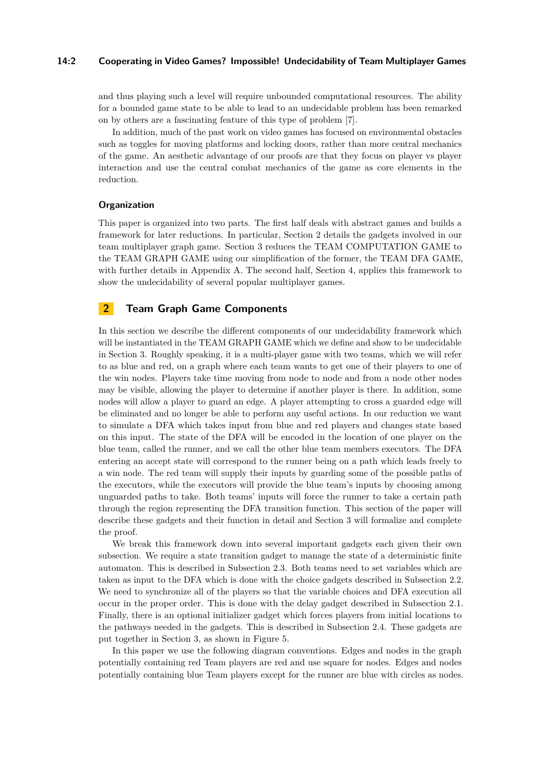### **14:2 Cooperating in Video Games? Impossible! Undecidability of Team Multiplayer Games**

and thus playing such a level will require unbounded computational resources. The ability for a bounded game state to be able to lead to an undecidable problem has been remarked on by others are a fascinating feature of this type of problem [\[7\]](#page-14-0).

In addition, much of the past work on video games has focused on environmental obstacles such as toggles for moving platforms and locking doors, rather than more central mechanics of the game. An aesthetic advantage of our proofs are that they focus on player vs player interaction and use the central combat mechanics of the game as core elements in the reduction.

## **Organization**

This paper is organized into two parts. The first half deals with abstract games and builds a framework for later reductions. In particular, Section [2](#page-1-0) details the gadgets involved in our team multiplayer graph game. Section [3](#page-6-0) reduces the TEAM COMPUTATION GAME to the TEAM GRAPH GAME using our simplification of the former, the TEAM DFA GAME, with further details in Appendix [A.](#page-14-9) The second half, Section [4,](#page-8-0) applies this framework to show the undecidability of several popular multiplayer games.

# <span id="page-1-0"></span>**2 Team Graph Game Components**

In this section we describe the different components of our undecidability framework which will be instantiated in the TEAM GRAPH GAME which we define and show to be undecidable in Section [3.](#page-6-0) Roughly speaking, it is a multi-player game with two teams, which we will refer to as blue and red, on a graph where each team wants to get one of their players to one of the win nodes. Players take time moving from node to node and from a node other nodes may be visible, allowing the player to determine if another player is there. In addition, some nodes will allow a player to guard an edge. A player attempting to cross a guarded edge will be eliminated and no longer be able to perform any useful actions. In our reduction we want to simulate a DFA which takes input from blue and red players and changes state based on this input. The state of the DFA will be encoded in the location of one player on the blue team, called the runner, and we call the other blue team members executors. The DFA entering an accept state will correspond to the runner being on a path which leads freely to a win node. The red team will supply their inputs by guarding some of the possible paths of the executors, while the executors will provide the blue team's inputs by choosing among unguarded paths to take. Both teams' inputs will force the runner to take a certain path through the region representing the DFA transition function. This section of the paper will describe these gadgets and their function in detail and Section [3](#page-6-0) will formalize and complete the proof.

We break this framework down into several important gadgets each given their own subsection. We require a state transition gadget to manage the state of a deterministic finite automaton. This is described in Subsection [2.3.](#page-3-0) Both teams need to set variables which are taken as input to the DFA which is done with the choice gadgets described in Subsection [2.2.](#page-2-0) We need to synchronize all of the players so that the variable choices and DFA execution all occur in the proper order. This is done with the delay gadget described in Subsection [2.1.](#page-2-1) Finally, there is an optional initializer gadget which forces players from initial locations to the pathways needed in the gadgets. This is described in Subsection [2.4.](#page-4-0) These gadgets are put together in Section [3,](#page-6-0) as shown in Figure [5.](#page-7-0)

In this paper we use the following diagram conventions. Edges and nodes in the graph potentially containing red Team players are red and use square for nodes. Edges and nodes potentially containing blue Team players except for the runner are blue with circles as nodes.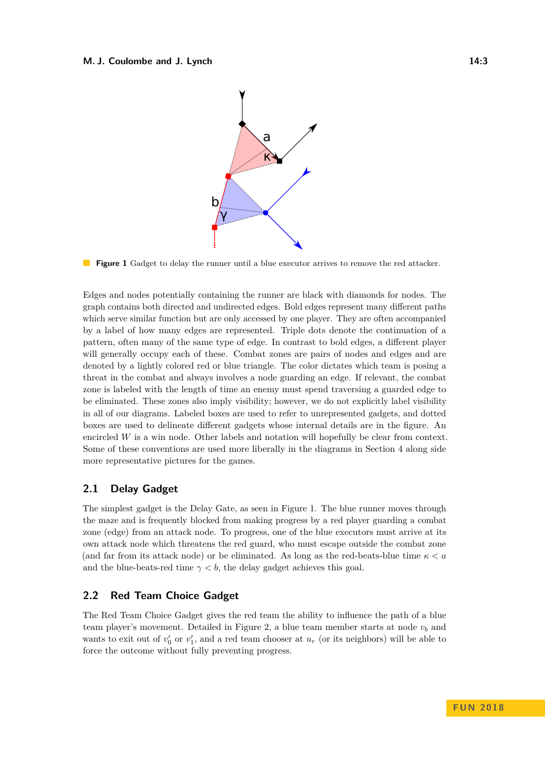<span id="page-2-2"></span>

**Figure 1** Gadget to delay the runner until a blue executor arrives to remove the red attacker.

Edges and nodes potentially containing the runner are black with diamonds for nodes. The graph contains both directed and undirected edges. Bold edges represent many different paths which serve similar function but are only accessed by one player. They are often accompanied by a label of how many edges are represented. Triple dots denote the continuation of a pattern, often many of the same type of edge. In contrast to bold edges, a different player will generally occupy each of these. Combat zones are pairs of nodes and edges and are denoted by a lightly colored red or blue triangle. The color dictates which team is posing a threat in the combat and always involves a node guarding an edge. If relevant, the combat zone is labeled with the length of time an enemy must spend traversing a guarded edge to be eliminated. These zones also imply visibility; however, we do not explicitly label visibility in all of our diagrams. Labeled boxes are used to refer to unrepresented gadgets, and dotted boxes are used to delineate different gadgets whose internal details are in the figure. An encircled *W* is a win node. Other labels and notation will hopefully be clear from context. Some of these conventions are used more liberally in the diagrams in Section [4](#page-8-0) along side more representative pictures for the games.

# <span id="page-2-1"></span>**2.1 Delay Gadget**

The simplest gadget is the Delay Gate, as seen in Figure [1.](#page-2-2) The blue runner moves through the maze and is frequently blocked from making progress by a red player guarding a combat zone (edge) from an attack node. To progress, one of the blue executors must arrive at its own attack node which threatens the red guard, who must escape outside the combat zone (and far from its attack node) or be eliminated. As long as the red-beats-blue time *κ < a* and the blue-beats-red time  $\gamma < b$ , the delay gadget achieves this goal.

# <span id="page-2-0"></span>**2.2 Red Team Choice Gadget**

The Red Team Choice Gadget gives the red team the ability to influence the path of a blue team player's movement. Detailed in Figure [2,](#page-3-1) a blue team member starts at node *v<sup>b</sup>* and wants to exit out of  $v'_0$  or  $v'_1$ , and a red team chooser at  $u_r$  (or its neighbors) will be able to force the outcome without fully preventing progress.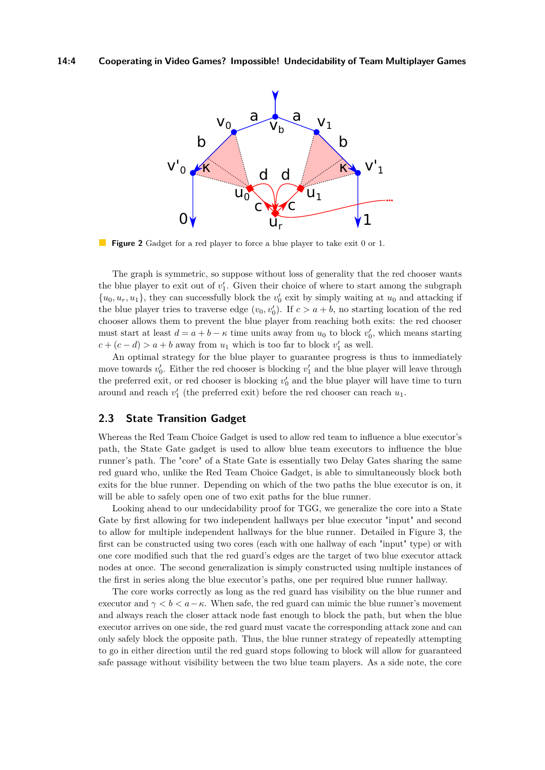<span id="page-3-1"></span>

**Figure 2** Gadget for a red player to force a blue player to take exit 0 or 1.

The graph is symmetric, so suppose without loss of generality that the red chooser wants the blue player to exit out of  $v_1'$ . Given their choice of where to start among the subgraph  $\{u_0, u_r, u_1\}$ , they can successfully block the  $v'_0$  exit by simply waiting at  $u_0$  and attacking if the blue player tries to traverse edge  $(v_0, v'_0)$ . If  $c > a + b$ , no starting location of the red chooser allows them to prevent the blue player from reaching both exits: the red chooser must start at least  $d = a + b - \kappa$  time units away from  $u_0$  to block  $v'_0$ , which means starting  $c + (c - d) > a + b$  away from  $u_1$  which is too far to block  $v'_1$  as well.

An optimal strategy for the blue player to guarantee progress is thus to immediately move towards  $v_0'$ . Either the red chooser is blocking  $v_1'$  and the blue player will leave through the preferred exit, or red chooser is blocking  $v'_0$  and the blue player will have time to turn around and reach  $v'_1$  (the preferred exit) before the red chooser can reach  $u_1$ .

# <span id="page-3-0"></span>**2.3 State Transition Gadget**

Whereas the Red Team Choice Gadget is used to allow red team to influence a blue executor's path, the State Gate gadget is used to allow blue team executors to influence the blue runner's path. The "core" of a State Gate is essentially two Delay Gates sharing the same red guard who, unlike the Red Team Choice Gadget, is able to simultaneously block both exits for the blue runner. Depending on which of the two paths the blue executor is on, it will be able to safely open one of two exit paths for the blue runner.

Looking ahead to our undecidability proof for TGG, we generalize the core into a State Gate by first allowing for two independent hallways per blue executor "input" and second to allow for multiple independent hallways for the blue runner. Detailed in Figure [3,](#page-4-1) the first can be constructed using two cores (each with one hallway of each "input" type) or with one core modified such that the red guard's edges are the target of two blue executor attack nodes at once. The second generalization is simply constructed using multiple instances of the first in series along the blue executor's paths, one per required blue runner hallway.

The core works correctly as long as the red guard has visibility on the blue runner and executor and  $\gamma < b < a - \kappa$ . When safe, the red guard can mimic the blue runner's movement and always reach the closer attack node fast enough to block the path, but when the blue executor arrives on one side, the red guard must vacate the corresponding attack zone and can only safely block the opposite path. Thus, the blue runner strategy of repeatedly attempting to go in either direction until the red guard stops following to block will allow for guaranteed safe passage without visibility between the two blue team players. As a side note, the core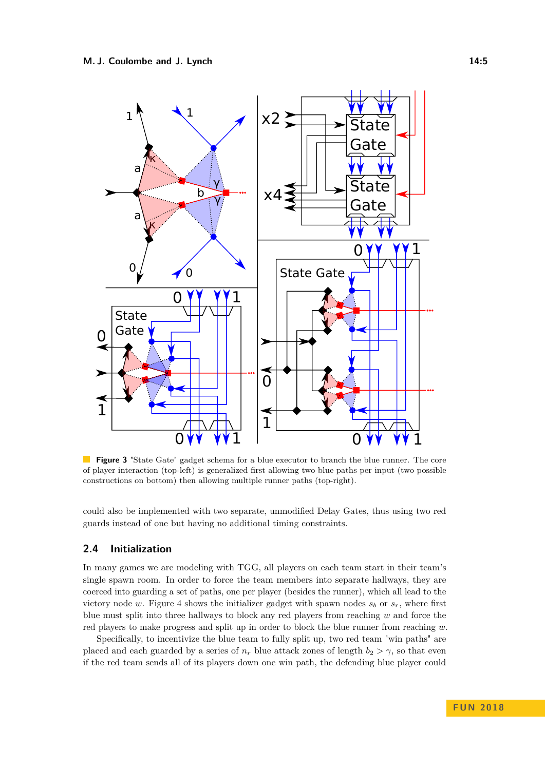<span id="page-4-1"></span>

**Figure 3** "State Gate" gadget schema for a blue executor to branch the blue runner. The core of player interaction (top-left) is generalized first allowing two blue paths per input (two possible constructions on bottom) then allowing multiple runner paths (top-right).

could also be implemented with two separate, unmodified Delay Gates, thus using two red guards instead of one but having no additional timing constraints.

## <span id="page-4-0"></span>**2.4 Initialization**

In many games we are modeling with TGG, all players on each team start in their team's single spawn room. In order to force the team members into separate hallways, they are coerced into guarding a set of paths, one per player (besides the runner), which all lead to the victory node *w*. Figure [4](#page-5-0) shows the initializer gadget with spawn nodes  $s_b$  or  $s_r$ , where first blue must split into three hallways to block any red players from reaching *w* and force the red players to make progress and split up in order to block the blue runner from reaching *w*.

Specifically, to incentivize the blue team to fully split up, two red team "win paths" are placed and each guarded by a series of  $n_r$  blue attack zones of length  $b_2 > \gamma$ , so that even if the red team sends all of its players down one win path, the defending blue player could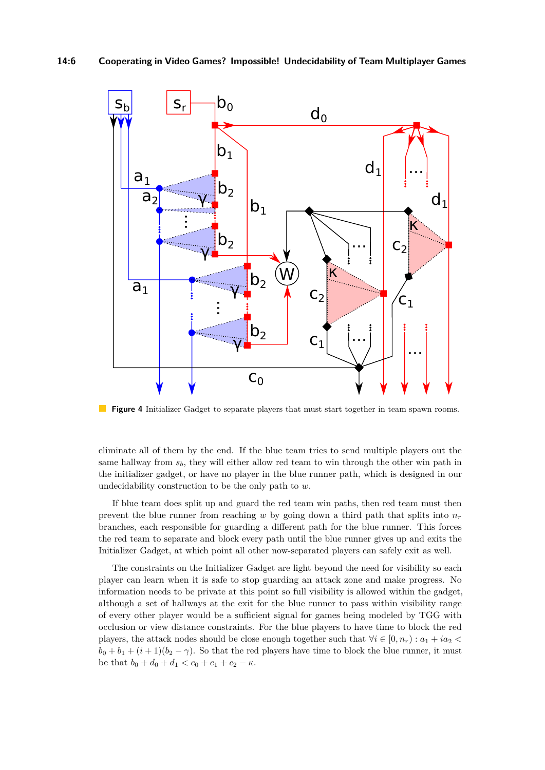<span id="page-5-0"></span>

**Figure 4** Initializer Gadget to separate players that must start together in team spawn rooms.  $\mathcal{L}_{\mathcal{A}}$ 

eliminate all of them by the end. If the blue team tries to send multiple players out the same hallway from  $s<sub>b</sub>$ , they will either allow red team to win through the other win path in the initializer gadget, or have no player in the blue runner path, which is designed in our undecidability construction to be the only path to *w*.

If blue team does split up and guard the red team win paths, then red team must then prevent the blue runner from reaching  $w$  by going down a third path that splits into  $n_r$ branches, each responsible for guarding a different path for the blue runner. This forces the red team to separate and block every path until the blue runner gives up and exits the Initializer Gadget, at which point all other now-separated players can safely exit as well.

The constraints on the Initializer Gadget are light beyond the need for visibility so each player can learn when it is safe to stop guarding an attack zone and make progress. No information needs to be private at this point so full visibility is allowed within the gadget, although a set of hallways at the exit for the blue runner to pass within visibility range of every other player would be a sufficient signal for games being modeled by TGG with occlusion or view distance constraints. For the blue players to have time to block the red players, the attack nodes should be close enough together such that  $\forall i \in [0, n_r) : a_1 + ia_2$  $b_0 + b_1 + (i + 1)(b_2 - \gamma)$ . So that the red players have time to block the blue runner, it must be that  $b_0 + d_0 + d_1 < c_0 + c_1 + c_2 - \kappa$ .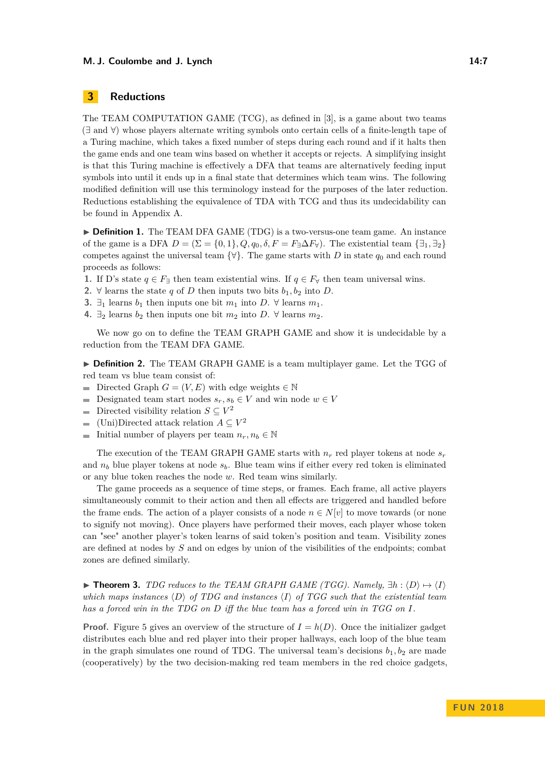# <span id="page-6-0"></span>**3 Reductions**

The TEAM COMPUTATION GAME (TCG), as defined in [\[3\]](#page-14-10), is a game about two teams (∃ and ∀) whose players alternate writing symbols onto certain cells of a finite-length tape of a Turing machine, which takes a fixed number of steps during each round and if it halts then the game ends and one team wins based on whether it accepts or rejects. A simplifying insight is that this Turing machine is effectively a DFA that teams are alternatively feeding input symbols into until it ends up in a final state that determines which team wins. The following modified definition will use this terminology instead for the purposes of the later reduction. Reductions establishing the equivalence of TDA with TCG and thus its undecidability can be found in Appendix [A.](#page-14-9)

▶ **Definition 1.** The TEAM DFA GAME (TDG) is a two-versus-one team game. An instance of the game is a DFA  $D = (\Sigma = \{0, 1\}, Q, q_0, \delta, F = F_{\exists} \Delta F_{\forall})$ . The existential team  $\{\exists_1, \exists_2\}$ competes against the universal team  $\{\forall\}$ . The game starts with *D* in state  $q_0$  and each round proceeds as follows:

- **1.** If D's state  $q \in F_{\exists}$  then team existential wins. If  $q \in F_{\forall}$  then team universal wins.
- 2. ∀ learns the state *q* of *D* then inputs two bits  $b_1, b_2$  into *D*.
- **3.** ∃<sub>1</sub> learns *b*<sub>1</sub> then inputs one bit *m*<sub>1</sub> into *D*.  $\forall$  learns *m*<sub>1</sub>.
- **4.** ∃<sub>2</sub> learns  $b_2$  then inputs one bit  $m_2$  into  $D$ . ∀ learns  $m_2$ .

We now go on to define the TEAM GRAPH GAME and show it is undecidable by a reduction from the TEAM DFA GAME.

► **Definition 2.** The TEAM GRAPH GAME is a team multiplayer game. Let the TGG of red team vs blue team consist of:

- Directed Graph  $G = (V, E)$  with edge weights  $\in \mathbb{N}$  $\equiv$
- Designated team start nodes  $s_r, s_b \in V$  and win node  $w \in V$  $\overline{\phantom{a}}$
- Directed visibility relation  $S \subseteq V^2$ m.
- (Uni)Directed attack relation  $A \subseteq V^2$  $\overline{a}$
- Initial number of players per team  $n_r, n_b \in \mathbb{N}$  $\blacksquare$

The execution of the TEAM GRAPH GAME starts with  $n_r$  red player tokens at node  $s_r$ and *n<sup>b</sup>* blue player tokens at node *sb*. Blue team wins if either every red token is eliminated or any blue token reaches the node *w*. Red team wins similarly.

The game proceeds as a sequence of time steps, or frames. Each frame, all active players simultaneously commit to their action and then all effects are triggered and handled before the frame ends. The action of a player consists of a node  $n \in N[v]$  to move towards (or none to signify not moving). Once players have performed their moves, each player whose token can "see" another player's token learns of said token's position and team. Visibility zones are defined at nodes by *S* and on edges by union of the visibilities of the endpoints; combat zones are defined similarly.

<span id="page-6-1"></span>**► Theorem 3.** *TDG reduces to the TEAM GRAPH GAME (TGG). Namely,*  $\exists h: \langle D \rangle \mapsto \langle I \rangle$ *which maps instances*  $\langle D \rangle$  *of TDG and instances*  $\langle I \rangle$  *of TGG such that the existential team has a forced win in the TDG on D iff the blue team has a forced win in TGG on I.*

**Proof.** Figure [5](#page-7-0) gives an overview of the structure of  $I = h(D)$ . Once the initializer gadget distributes each blue and red player into their proper hallways, each loop of the blue team in the graph simulates one round of TDG. The universal team's decisions  $b_1, b_2$  are made (cooperatively) by the two decision-making red team members in the red choice gadgets,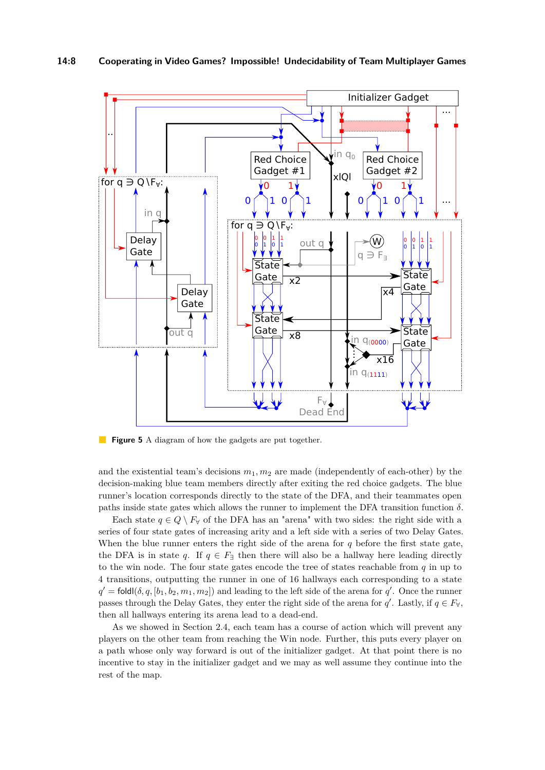<span id="page-7-0"></span>

 $\mathcal{L}_{\mathcal{A}}$ **Figure 5** A diagram of how the gadgets are put together.

and the existential team's decisions *m*1*, m*<sup>2</sup> are made (independently of each-other) by the decision-making blue team members directly after exiting the red choice gadgets. The blue runner's location corresponds directly to the state of the DFA, and their teammates open paths inside state gates which allows the runner to implement the DFA transition function  $\delta$ .

 $F_{\forall}$ Dead End

Each state  $q \in Q \setminus F_{\forall}$  of the DFA has an "arena" with two sides: the right side with a series of four state gates of increasing arity and a left side with a series of two Delay Gates. When the blue runner enters the right side of the arena for *q* before the first state gate, the DFA is in state *q*. If  $q \in F_{\exists}$  then there will also be a hallway here leading directly to the win node. The four state gates encode the tree of states reachable from *q* in up to 4 transitions, outputting the runner in one of 16 hallways each corresponding to a state  $q' = \text{fold}(\delta, q, [b_1, b_2, m_1, m_2])$  and leading to the left side of the arena for *q*'. Once the runner passes through the Delay Gates, they enter the right side of the arena for *q'*. Lastly, if  $q \in F_{\forall}$ , then all hallways entering its arena lead to a dead-end.

As we showed in Section [2.4,](#page-4-0) each team has a course of action which will prevent any players on the other team from reaching the Win node. Further, this puts every player on a path whose only way forward is out of the initializer gadget. At that point there is no incentive to stay in the initializer gadget and we may as well assume they continue into the rest of the map.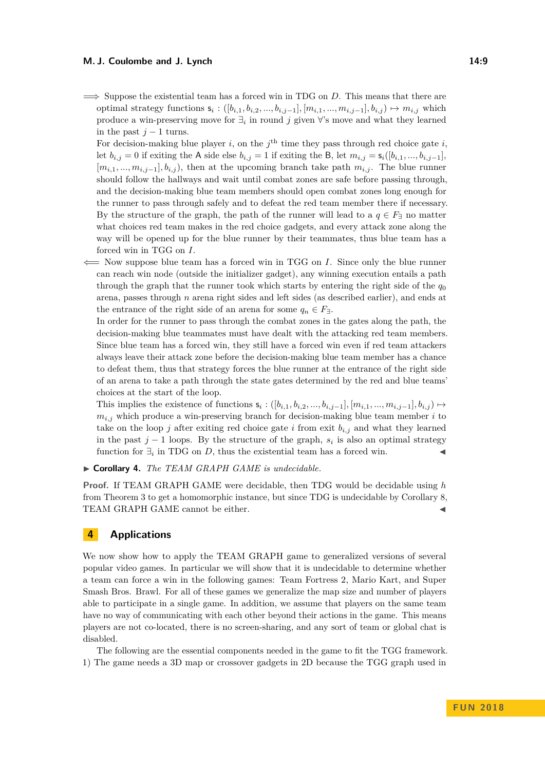**=⇒** Suppose the existential team has a forced win in TDG on *D*. This means that there are optimal strategy functions  $s_i$  :  $([b_{i,1}, b_{i,2}, ..., b_{i,j-1}], [m_{i,1}, ..., m_{i,j-1}], b_{i,j})$  →  $m_{i,j}$  which produce a win-preserving move for  $\exists_i$  in round *j* given  $\forall$ 's move and what they learned in the past  $j-1$  turns.

For decision-making blue player *i*, on the  $j^{\text{th}}$  time they pass through red choice gate *i*, let *b*<sub>*i,j*</sub> = 0 if exiting the A side else *b*<sub>*i,j*</sub> = 1 if exiting the B, let  $m_{i,j} = s_i([b_{i,1},...,b_{i,j-1}],$  $[m_{i,1},...,m_{i,j-1}], b_{i,j}$ , then at the upcoming branch take path  $m_{i,j}$ . The blue runner should follow the hallways and wait until combat zones are safe before passing through, and the decision-making blue team members should open combat zones long enough for the runner to pass through safely and to defeat the red team member there if necessary. By the structure of the graph, the path of the runner will lead to a  $q \in F_{\exists}$  no matter what choices red team makes in the red choice gadgets, and every attack zone along the way will be opened up for the blue runner by their teammates, thus blue team has a forced win in TGG on *I*.

**⇐=** Now suppose blue team has a forced win in TGG on *I*. Since only the blue runner can reach win node (outside the initializer gadget), any winning execution entails a path through the graph that the runner took which starts by entering the right side of the  $q_0$ arena, passes through *n* arena right sides and left sides (as described earlier), and ends at the entrance of the right side of an arena for some  $q_n \in F_{\exists}$ .

In order for the runner to pass through the combat zones in the gates along the path, the decision-making blue teammates must have dealt with the attacking red team members. Since blue team has a forced win, they still have a forced win even if red team attackers always leave their attack zone before the decision-making blue team member has a chance to defeat them, thus that strategy forces the blue runner at the entrance of the right side of an arena to take a path through the state gates determined by the red and blue teams' choices at the start of the loop.

This implies the existence of functions  $s_i: ([b_{i,1}, b_{i,2}, ..., b_{i,j-1}], [m_{i,1}, ..., m_{i,j-1}], b_{i,j}) \mapsto$  $m_{i,j}$  which produce a win-preserving branch for decision-making blue team member *i* to take on the loop  $j$  after exiting red choice gate  $i$  from exit  $b_{i,j}$  and what they learned in the past  $j-1$  loops. By the structure of the graph,  $s_i$  is also an optimal strategy function for  $\exists_i$  in TDG on *D*, thus the existential team has a forced win.  $\triangleleft$ 

I **Corollary 4.** *The TEAM GRAPH GAME is undecidable.*

**Proof.** If TEAM GRAPH GAME were decidable, then TDG would be decidable using *h* from Theorem [3](#page-6-1) to get a homomorphic instance, but since TDG is undecidable by Corollary [8,](#page-15-1) TEAM GRAPH GAME cannot be either.

# <span id="page-8-0"></span>**4 Applications**

We now show how to apply the TEAM GRAPH game to generalized versions of several popular video games. In particular we will show that it is undecidable to determine whether a team can force a win in the following games: Team Fortress 2, Mario Kart, and Super Smash Bros. Brawl. For all of these games we generalize the map size and number of players able to participate in a single game. In addition, we assume that players on the same team have no way of communicating with each other beyond their actions in the game. This means players are not co-located, there is no screen-sharing, and any sort of team or global chat is disabled.

The following are the essential components needed in the game to fit the TGG framework. 1) The game needs a 3D map or crossover gadgets in 2D because the TGG graph used in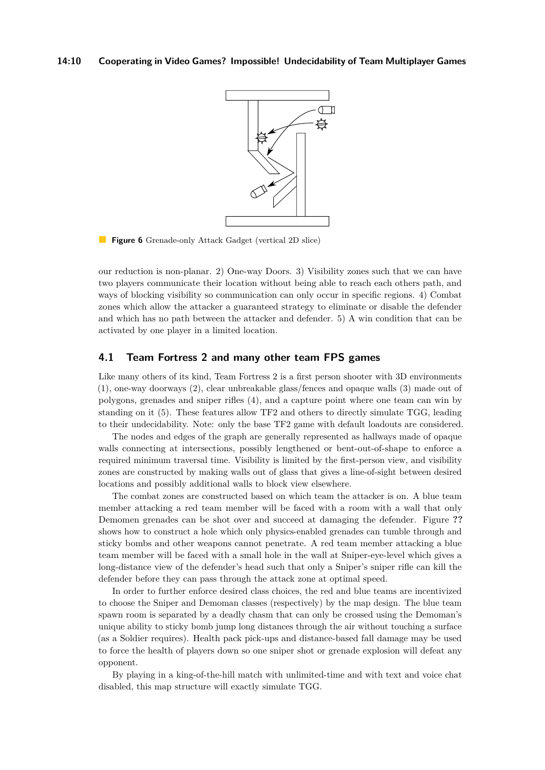

**Figure 6** Grenade-only Attack Gadget (vertical 2D slice)

our reduction is non-planar. 2) One-way Doors. 3) Visibility zones such that we can have two players communicate their location without being able to reach each others path, and ways of blocking visibility so communication can only occur in specific regions. 4) Combat zones which allow the attacker a guaranteed strategy to eliminate or disable the defender and which has no path between the attacker and defender. 5) A win condition that can be activated by one player in a limited location.

# **4.1 Team Fortress 2 and many other team FPS games**

Like many others of its kind, Team Fortress 2 is a first person shooter with 3D environments (1), one-way doorways (2), clear unbreakable glass/fences and opaque walls (3) made out of polygons, grenades and sniper rifles (4), and a capture point where one team can win by standing on it (5). These features allow TF2 and others to directly simulate TGG, leading to their undecidability. Note: only the base TF2 game with default loadouts are considered.

The nodes and edges of the graph are generally represented as hallways made of opaque walls connecting at intersections, possibly lengthened or bent-out-of-shape to enforce a required minimum traversal time. Visibility is limited by the first-person view, and visibility zones are constructed by making walls out of glass that gives a line-of-sight between desired locations and possibly additional walls to block view elsewhere.

The combat zones are constructed based on which team the attacker is on. A blue team member attacking a red team member will be faced with a room with a wall that only Demomen grenades can be shot over and succeed at damaging the defender. Figure **??** shows how to construct a hole which only physics-enabled grenades can tumble through and sticky bombs and other weapons cannot penetrate. A red team member attacking a blue team member will be faced with a small hole in the wall at Sniper-eye-level which gives a long-distance view of the defender's head such that only a Sniper's sniper rifle can kill the defender before they can pass through the attack zone at optimal speed.

In order to further enforce desired class choices, the red and blue teams are incentivized to choose the Sniper and Demoman classes (respectively) by the map design. The blue team spawn room is separated by a deadly chasm that can only be crossed using the Demoman's unique ability to sticky bomb jump long distances through the air without touching a surface (as a Soldier requires). Health pack pick-ups and distance-based fall damage may be used to force the health of players down so one sniper shot or grenade explosion will defeat any opponent.

By playing in a king-of-the-hill match with unlimited-time and with text and voice chat disabled, this map structure will exactly simulate TGG.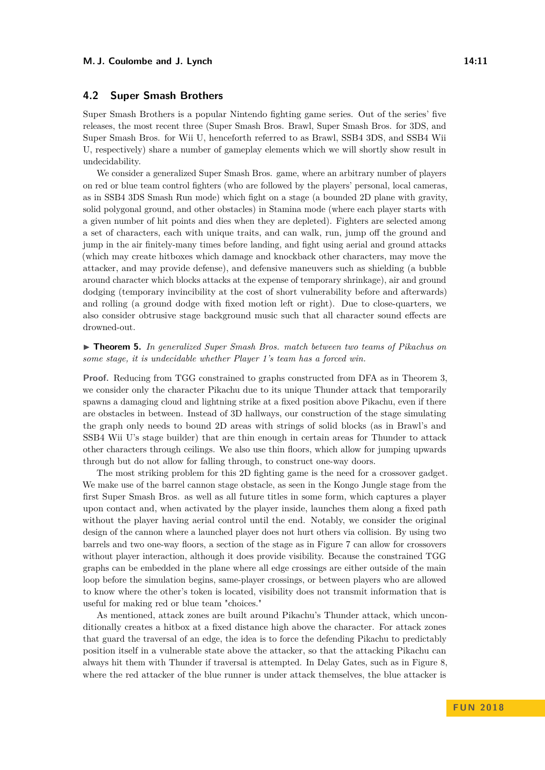## **4.2 Super Smash Brothers**

Super Smash Brothers is a popular Nintendo fighting game series. Out of the series' five releases, the most recent three (Super Smash Bros. Brawl, Super Smash Bros. for 3DS, and Super Smash Bros. for Wii U, henceforth referred to as Brawl, SSB4 3DS, and SSB4 Wii U, respectively) share a number of gameplay elements which we will shortly show result in undecidability.

We consider a generalized Super Smash Bros. game, where an arbitrary number of players on red or blue team control fighters (who are followed by the players' personal, local cameras, as in SSB4 3DS Smash Run mode) which fight on a stage (a bounded 2D plane with gravity, solid polygonal ground, and other obstacles) in Stamina mode (where each player starts with a given number of hit points and dies when they are depleted). Fighters are selected among a set of characters, each with unique traits, and can walk, run, jump off the ground and jump in the air finitely-many times before landing, and fight using aerial and ground attacks (which may create hitboxes which damage and knockback other characters, may move the attacker, and may provide defense), and defensive maneuvers such as shielding (a bubble around character which blocks attacks at the expense of temporary shrinkage), air and ground dodging (temporary invincibility at the cost of short vulnerability before and afterwards) and rolling (a ground dodge with fixed motion left or right). Due to close-quarters, we also consider obtrusive stage background music such that all character sound effects are drowned-out.

▶ **Theorem 5.** *In generalized Super Smash Bros. match between two teams of Pikachus on some stage, it is undecidable whether Player 1's team has a forced win.*

**Proof.** Reducing from TGG constrained to graphs constructed from DFA as in Theorem [3,](#page-6-1) we consider only the character Pikachu due to its unique Thunder attack that temporarily spawns a damaging cloud and lightning strike at a fixed position above Pikachu, even if there are obstacles in between. Instead of 3D hallways, our construction of the stage simulating the graph only needs to bound 2D areas with strings of solid blocks (as in Brawl's and SSB4 Wii U's stage builder) that are thin enough in certain areas for Thunder to attack other characters through ceilings. We also use thin floors, which allow for jumping upwards through but do not allow for falling through, to construct one-way doors.

The most striking problem for this 2D fighting game is the need for a crossover gadget. We make use of the barrel cannon stage obstacle, as seen in the Kongo Jungle stage from the first Super Smash Bros. as well as all future titles in some form, which captures a player upon contact and, when activated by the player inside, launches them along a fixed path without the player having aerial control until the end. Notably, we consider the original design of the cannon where a launched player does not hurt others via collision. By using two barrels and two one-way floors, a section of the stage as in Figure [7](#page-12-0) can allow for crossovers without player interaction, although it does provide visibility. Because the constrained TGG graphs can be embedded in the plane where all edge crossings are either outside of the main loop before the simulation begins, same-player crossings, or between players who are allowed to know where the other's token is located, visibility does not transmit information that is useful for making red or blue team "choices."

As mentioned, attack zones are built around Pikachu's Thunder attack, which unconditionally creates a hitbox at a fixed distance high above the character. For attack zones that guard the traversal of an edge, the idea is to force the defending Pikachu to predictably position itself in a vulnerable state above the attacker, so that the attacking Pikachu can always hit them with Thunder if traversal is attempted. In Delay Gates, such as in Figure [8,](#page-12-1) where the red attacker of the blue runner is under attack themselves, the blue attacker is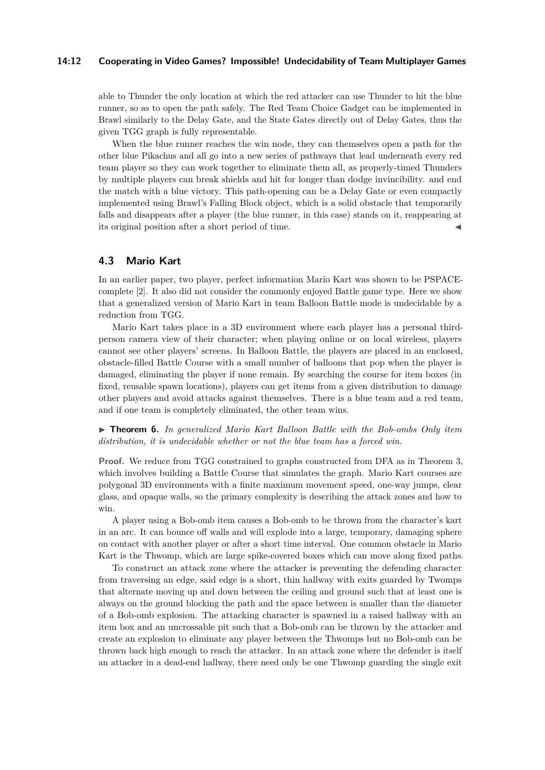#### **14:12 Cooperating in Video Games? Impossible! Undecidability of Team Multiplayer Games**

able to Thunder the only location at which the red attacker can use Thunder to hit the blue runner, so as to open the path safely. The Red Team Choice Gadget can be implemented in Brawl similarly to the Delay Gate, and the State Gates directly out of Delay Gates, thus the given TGG graph is fully representable.

When the blue runner reaches the win node, they can themselves open a path for the other blue Pikachus and all go into a new series of pathways that lead underneath every red team player so they can work together to eliminate them all, as properly-timed Thunders by multiple players can break shields and hit for longer than dodge invincibility. and end the match with a blue victory. This path-opening can be a Delay Gate or even compactly implemented using Brawl's Falling Block object, which is a solid obstacle that temporarily falls and disappears after a player (the blue runner, in this case) stands on it, reappearing at its original position after a short period of time.

## **4.3 Mario Kart**

In an earlier paper, two player, perfect information Mario Kart was shown to be PSPACEcomplete [\[2\]](#page-14-11). It also did not consider the commonly enjoyed Battle game type. Here we show that a generalized version of Mario Kart in team Balloon Battle mode is undecidable by a reduction from TGG.

Mario Kart takes place in a 3D environment where each player has a personal thirdperson camera view of their character; when playing online or on local wireless, players cannot see other players' screens. In Balloon Battle, the players are placed in an enclosed, obstacle-filled Battle Course with a small number of balloons that pop when the player is damaged, eliminating the player if none remain. By searching the course for item boxes (in fixed, reusable spawn locations), players can get items from a given distribution to damage other players and avoid attacks against themselves. There is a blue team and a red team, and if one team is completely eliminated, the other team wins.

► **Theorem 6.** In generalized Mario Kart Balloon Battle with the Bob-ombs Only item *distribution, it is undecidable whether or not the blue team has a forced win.*

**Proof.** We reduce from TGG constrained to graphs constructed from DFA as in Theorem [3,](#page-6-1) which involves building a Battle Course that simulates the graph. Mario Kart courses are polygonal 3D environments with a finite maximum movement speed, one-way jumps, clear glass, and opaque walls, so the primary complexity is describing the attack zones and how to win.

A player using a Bob-omb item causes a Bob-omb to be thrown from the character's kart in an arc. It can bounce off walls and will explode into a large, temporary, damaging sphere on contact with another player or after a short time interval. One common obstacle in Mario Kart is the Thwomp, which are large spike-covered boxes which can move along fixed paths.

To construct an attack zone where the attacker is preventing the defending character from traversing an edge, said edge is a short, thin hallway with exits guarded by Twomps that alternate moving up and down between the ceiling and ground such that at least one is always on the ground blocking the path and the space between is smaller than the diameter of a Bob-omb explosion. The attacking character is spawned in a raised hallway with an item box and an uncrossable pit such that a Bob-omb can be thrown by the attacker and create an explosion to eliminate any player between the Thwomps but no Bob-omb can be thrown back high enough to reach the attacker. In an attack zone where the defender is itself an attacker in a dead-end hallway, there need only be one Thwomp guarding the single exit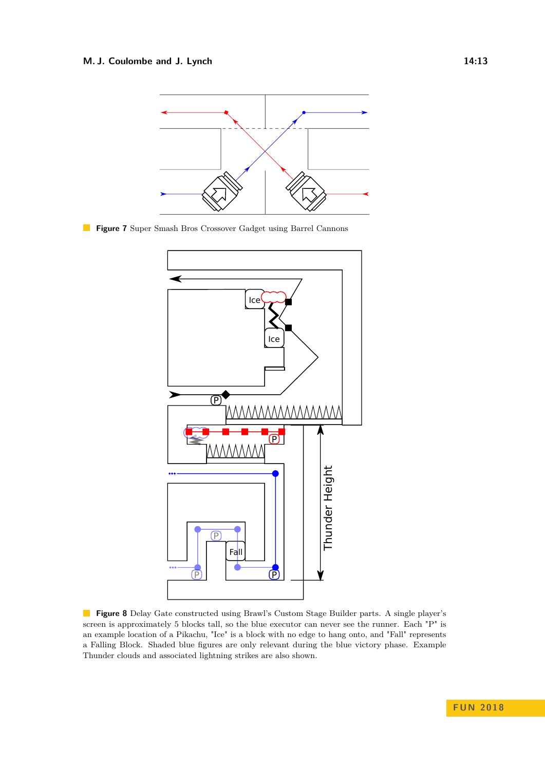<span id="page-12-0"></span>

<span id="page-12-1"></span>**Figure 7** Super Smash Bros Crossover Gadget using Barrel Cannons



**Figure 8** Delay Gate constructed using Brawl's Custom Stage Builder parts. A single player's screen is approximately 5 blocks tall, so the blue executor can never see the runner. Each "P" is an example location of a Pikachu, "Ice" is a block with no edge to hang onto, and "Fall" represents a Falling Block. Shaded blue figures are only relevant during the blue victory phase. Example Thunder clouds and associated lightning strikes are also shown.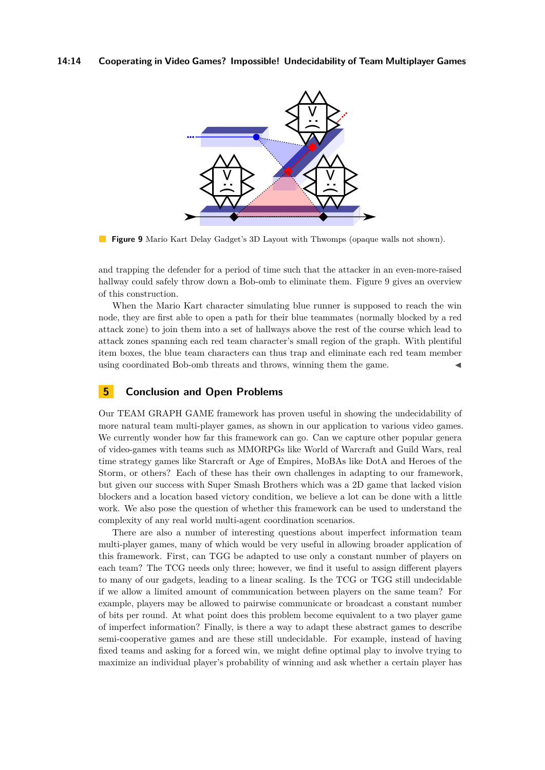### **14:14 Cooperating in Video Games? Impossible! Undecidability of Team Multiplayer Games**

<span id="page-13-0"></span>

**Figure 9** Mario Kart Delay Gadget's 3D Layout with Thwomps (opaque walls not shown).

and trapping the defender for a period of time such that the attacker in an even-more-raised hallway could safely throw down a Bob-omb to eliminate them. Figure [9](#page-13-0) gives an overview of this construction.

When the Mario Kart character simulating blue runner is supposed to reach the win node, they are first able to open a path for their blue teammates (normally blocked by a red attack zone) to join them into a set of hallways above the rest of the course which lead to attack zones spanning each red team character's small region of the graph. With plentiful item boxes, the blue team characters can thus trap and eliminate each red team member using coordinated Bob-omb threats and throws, winning them the game.

# **5 Conclusion and Open Problems**

Our TEAM GRAPH GAME framework has proven useful in showing the undecidability of more natural team multi-player games, as shown in our application to various video games. We currently wonder how far this framework can go. Can we capture other popular genera of video-games with teams such as MMORPGs like World of Warcraft and Guild Wars, real time strategy games like Starcraft or Age of Empires, MoBAs like DotA and Heroes of the Storm, or others? Each of these has their own challenges in adapting to our framework, but given our success with Super Smash Brothers which was a 2D game that lacked vision blockers and a location based victory condition, we believe a lot can be done with a little work. We also pose the question of whether this framework can be used to understand the complexity of any real world multi-agent coordination scenarios.

There are also a number of interesting questions about imperfect information team multi-player games, many of which would be very useful in allowing broader application of this framework. First, can TGG be adapted to use only a constant number of players on each team? The TCG needs only three; however, we find it useful to assign different players to many of our gadgets, leading to a linear scaling. Is the TCG or TGG still undecidable if we allow a limited amount of communication between players on the same team? For example, players may be allowed to pairwise communicate or broadcast a constant number of bits per round. At what point does this problem become equivalent to a two player game of imperfect information? Finally, is there a way to adapt these abstract games to describe semi-cooperative games and are these still undecidable. For example, instead of having fixed teams and asking for a forced win, we might define optimal play to involve trying to maximize an individual player's probability of winning and ask whether a certain player has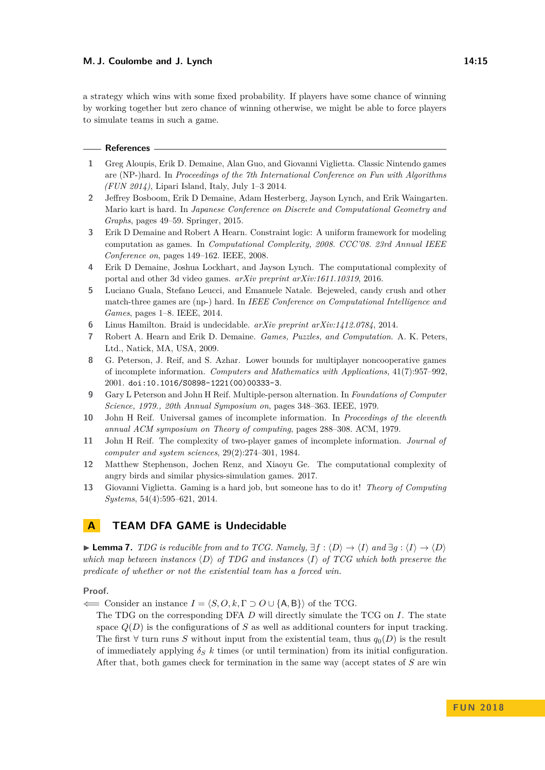a strategy which wins with some fixed probability. If players have some chance of winning by working together but zero chance of winning otherwise, we might be able to force players to simulate teams in such a game.

#### **References**

- <span id="page-14-4"></span>**1** Greg Aloupis, Erik D. Demaine, Alan Guo, and Giovanni Viglietta. Classic Nintendo games are (NP-)hard. In *Proceedings of the 7th International Conference on Fun with Algorithms (FUN 2014)*, Lipari Island, Italy, July 1–3 2014.
- <span id="page-14-11"></span>**2** Jeffrey Bosboom, Erik D Demaine, Adam Hesterberg, Jayson Lynch, and Erik Waingarten. Mario kart is hard. In *Japanese Conference on Discrete and Computational Geometry and Graphs*, pages 49–59. Springer, 2015.
- <span id="page-14-10"></span>**3** Erik D Demaine and Robert A Hearn. Constraint logic: A uniform framework for modeling computation as games. In *Computational Complexity, 2008. CCC'08. 23rd Annual IEEE Conference on*, pages 149–162. IEEE, 2008.
- <span id="page-14-6"></span>**4** Erik D Demaine, Joshua Lockhart, and Jayson Lynch. The computational complexity of portal and other 3d video games. *arXiv preprint arXiv:1611.10319*, 2016.
- <span id="page-14-5"></span>**5** Luciano Guala, Stefano Leucci, and Emanuele Natale. Bejeweled, candy crush and other match-three games are (np-) hard. In *IEEE Conference on Computational Intelligence and Games*, pages 1–8. IEEE, 2014.
- <span id="page-14-8"></span>**6** Linus Hamilton. Braid is undecidable. *arXiv preprint arXiv:1412.0784*, 2014.
- <span id="page-14-0"></span>**7** Robert A. Hearn and Erik D. Demaine. *Games, Puzzles, and Computation*. A. K. Peters, Ltd., Natick, MA, USA, 2009.
- <span id="page-14-1"></span>**8** G. Peterson, J. Reif, and S. Azhar. Lower bounds for multiplayer noncooperative games of incomplete information. *Computers and Mathematics with Applications*, 41(7):957–992, 2001. [doi:10.1016/S0898-1221\(00\)00333-3](http://dx.doi.org/10.1016/S0898-1221(00)00333-3).
- **9** Gary L Peterson and John H Reif. Multiple-person alternation. In *Foundations of Computer Science, 1979., 20th Annual Symposium on*, pages 348–363. IEEE, 1979.
- **10** John H Reif. Universal games of incomplete information. In *Proceedings of the eleventh annual ACM symposium on Theory of computing*, pages 288–308. ACM, 1979.
- <span id="page-14-2"></span>**11** John H Reif. The complexity of two-player games of incomplete information. *Journal of computer and system sciences*, 29(2):274–301, 1984.
- <span id="page-14-7"></span>**12** Matthew Stephenson, Jochen Renz, and Xiaoyu Ge. The computational complexity of angry birds and similar physics-simulation games. 2017.
- <span id="page-14-3"></span>**13** Giovanni Viglietta. Gaming is a hard job, but someone has to do it! *Theory of Computing Systems*, 54(4):595–621, 2014.

# <span id="page-14-9"></span>**A TEAM DFA GAME is Undecidable**

<span id="page-14-12"></span>**► Lemma 7.** *TDG is reducible from and to TCG. Namely,*  $\exists f : \langle D \rangle \rightarrow \langle I \rangle$  *and*  $\exists g : \langle I \rangle \rightarrow \langle D \rangle$ *which map between instances*  $\langle D \rangle$  *of TDG and instances*  $\langle I \rangle$  *of TCG which both preserve the predicate of whether or not the existential team has a forced win.*

**Proof.**

 $\leftarrow$  Consider an instance *I* =  $\langle S, O, k, \Gamma \supset O \cup \{A, B\} \rangle$  of the TCG.

The TDG on the corresponding DFA *D* will directly simulate the TCG on *I*. The state space  $Q(D)$  is the configurations of  $S$  as well as additional counters for input tracking. The first  $\forall$  turn runs *S* without input from the existential team, thus  $q_0(D)$  is the result of immediately applying  $\delta_S$  *k* times (or until termination) from its initial configuration. After that, both games check for termination in the same way (accept states of *S* are win